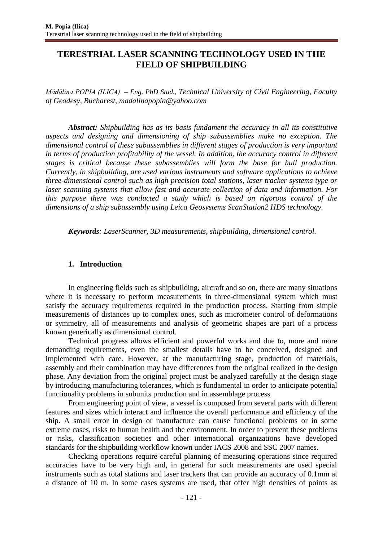# **TERESTRIAL LASER SCANNING TECHNOLOGY USED IN THE FIELD OF SHIPBUILDING**

*Mădălina POPIA (ILICA) – Eng. PhD Stud., Technical University of Civil Engineering, Faculty of Geodesy, Bucharest, [madalinapopia@yahoo.com](mailto:madalinapopia@yahoo.com)*

*Abstract: Shipbuilding has as its basis fundament the accuracy in all its constitutive aspects and designing and dimensioning of ship subassemblies make no exception. The dimensional control of these subassemblies in different stages of production is very important in terms of production profitability of the vessel. In addition, the accuracy control in different stages is critical because these subassemblies will form the base for hull production. Currently, in shipbuilding, are used various instruments and software applications to achieve three-dimensional control such as high precision total stations, laser tracker systems type or laser scanning systems that allow fast and accurate collection of data and information. For this purpose there was conducted a study which is based on rigorous control of the dimensions of a ship subassembly using Leica Geosystems ScanStation2 HDS technology.*

*Keywords: LaserScanner, 3D measurements, shipbuilding, dimensional control.*

## **1. Introduction**

In engineering fields such as shipbuilding, aircraft and so on, there are many situations where it is necessary to perform measurements in three-dimensional system which must satisfy the accuracy requirements required in the production process. Starting from simple measurements of distances up to complex ones, such as micrometer control of deformations or symmetry, all of measurements and analysis of geometric shapes are part of a process known generically as dimensional control.

Technical progress allows efficient and powerful works and due to, more and more demanding requirements, even the smallest details have to be conceived, designed and implemented with care. However, at the manufacturing stage, production of materials, assembly and their combination may have differences from the original realized in the design phase. Any deviation from the original project must be analyzed carefully at the design stage by introducing manufacturing tolerances, which is fundamental in order to anticipate potential functionality problems in subunits production and in assemblage process.

From engineering point of view, a vessel is composed from several parts with different features and sizes which interact and influence the overall performance and efficiency of the ship. A small error in design or manufacture can cause functional problems or in some extreme cases, risks to human health and the environment. In order to prevent these problems or risks, classification societies and other international organizations have developed standards for the shipbuilding workflow known under IACS 2008 and SSC 2007 names.

Checking operations require careful planning of measuring operations since required accuracies have to be very high and, in general for such measurements are used special instruments such as total stations and laser trackers that can provide an accuracy of 0.1mm at a distance of 10 m. In some cases systems are used, that offer high densities of points as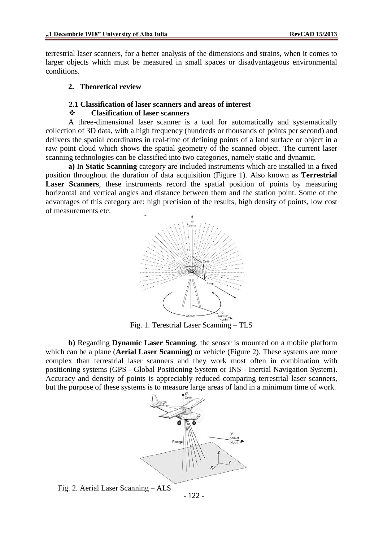terrestrial laser scanners, for a better analysis of the dimensions and strains, when it comes to larger objects which must be measured in small spaces or disadvantageous environmental conditions.

## **2. Theoretical review**

## **2.1 Classification of laser scanners and areas of interest**

## **Clasification of laser scanners**

A three-dimensional laser scanner is a tool for automatically and systematically collection of 3D data, with a high frequency (hundreds or thousands of points per second) and delivers the spatial coordinates in real-time of defining points of a land surface or object in a raw point cloud which shows the spatial geometry of the scanned object. The current laser scanning technologies can be classified into two categories, namely static and dynamic.

**a)** In **Static Scanning** category are included instruments which are installed in a fixed position throughout the duration of data acquisition (Figure 1). Also known as **Terrestrial Laser Scanners**, these instruments record the spatial position of points by measuring horizontal and vertical angles and distance between them and the station point. Some of the advantages of this category are: high precision of the results, high density of points, low cost of measurements etc.



Fig. 1. Terestrial Laser Scanning – TLS

**b)** Regarding **Dynamic Laser Scanning**, the sensor is mounted on a mobile platform which can be a plane (**Aerial Laser Scanning**) or vehicle (Figure 2). These systems are more complex than terrestrial laser scanners and they work most often in combination with positioning systems (GPS - Global Positioning System or INS - Inertial Navigation System). Accuracy and density of points is appreciably reduced comparing terrestrial laser scanners, but the purpose of these systems is to measure large areas of land in a minimum time of work.



Fig. 2. Aerial Laser Scanning – ALS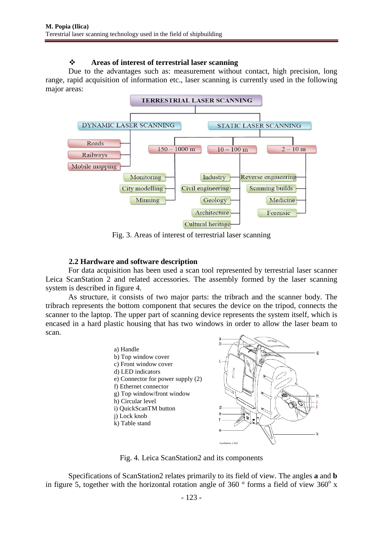## **Areas of interest of terrestrial laser scanning**

Due to the advantages such as: measurement without contact, high precision, long range, rapid acquisition of information etc., laser scanning is currently used in the following major areas:



Fig. 3. Areas of interest of terrestrial laser scanning

## **2.2 Hardware and software description**

For data acquisition has been used a scan tool represented by terrestrial laser scanner Leica ScanStation 2 and related accessories. The assembly formed by the laser scanning system is described in figure 4.

As structure, it consists of two major parts: the tribrach and the scanner body. The tribrach represents the bottom component that secures the device on the tripod, connects the scanner to the laptop. The upper part of scanning device represents the system itself, which is encased in a hard plastic housing that has two windows in order to allow the laser beam to scan.



Fig. 4. Leica ScanStation2 and its components

Specifications of ScanStation2 relates primarily to its field of view. The angles **a** and **b** in figure 5, together with the horizontal rotation angle of 360  $\degree$  forms a field of view 360 $\degree$  x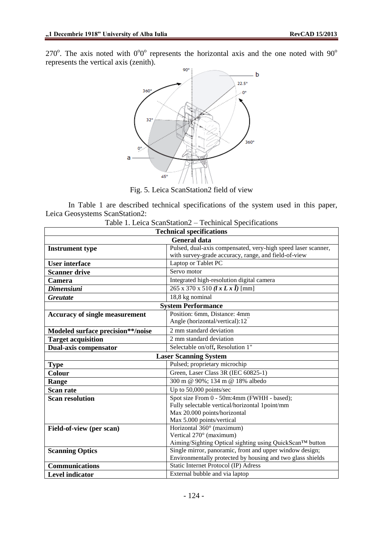270 $^{\circ}$ . The axis noted with 0 $^{\circ}$ 0 $^{\circ}$  represents the horizontal axis and the one noted with 90 $^{\circ}$ represents the vertical axis (zenith).



Fig. 5. Leica ScanStation2 field of view

In Table 1 are described technical specifications of the system used in this paper, Leica Geosystems ScanStation2:

| <b>Technical specifications</b>       |                                                                                                                      |
|---------------------------------------|----------------------------------------------------------------------------------------------------------------------|
| <b>General data</b>                   |                                                                                                                      |
| <b>Instrument type</b>                | Pulsed, dual-axis compensated, very-high speed laser scanner,                                                        |
|                                       | with survey-grade accuracy, range, and field-of-view                                                                 |
| <b>User interface</b>                 | Laptop or Tablet PC                                                                                                  |
| <b>Scanner drive</b>                  | Servo motor                                                                                                          |
| Camera                                | Integrated high-resolution digital camera                                                                            |
| <b>Dimensiuni</b>                     | $265 \times 370 \times 510$ $(lx Lx \hat{i})$ [mm]                                                                   |
| <b>Greutate</b>                       | 18,8 kg nominal                                                                                                      |
| <b>System Performance</b>             |                                                                                                                      |
| <b>Accuracy of single measurement</b> | Position: 6mm, Distance: 4mm                                                                                         |
|                                       | Angle (horizontal/vertical):12                                                                                       |
| Modeled surface precision**/noise     | 2 mm standard deviation                                                                                              |
| <b>Target acquisition</b>             | 2 mm standard deviation                                                                                              |
| Dual-axis compensator                 | Selectable on/off, Resolution 1"                                                                                     |
| <b>Laser Scanning System</b>          |                                                                                                                      |
| <b>Type</b>                           | Pulsed; proprietary microchip                                                                                        |
| Colour                                | Green, Laser Class 3R (IEC 60825-1)                                                                                  |
| Range                                 | 300 m @ 90%; 134 m @ 18% albedo                                                                                      |
| <b>Scan rate</b>                      | Up to 50,000 points/sec                                                                                              |
| <b>Scan resolution</b>                | Spot size From 0 - 50m:4mm (FWHH - based);                                                                           |
|                                       | Fully selectable vertical/horizontal 1point/mm                                                                       |
|                                       | Max 20.000 points/horizontal                                                                                         |
|                                       | Max 5.000 points/vertical                                                                                            |
| Field-of-view (per scan)              | Horizontal 360° (maximum)                                                                                            |
|                                       | Vertical 270° (maximum)                                                                                              |
|                                       | Aiming/Sighting Optical sighting using QuickScan™ button<br>Single mirror, panoramic, front and upper window design; |
| <b>Scanning Optics</b>                | Environmentally protected by housing and two glass shields                                                           |
| Communications                        | Static Internet Protocol (IP) Adress                                                                                 |
| <b>Level indicator</b>                | External bubble and via laptop                                                                                       |
|                                       |                                                                                                                      |

| Table 1. Leica ScanStation2 – Techinical Specifications |
|---------------------------------------------------------|
|---------------------------------------------------------|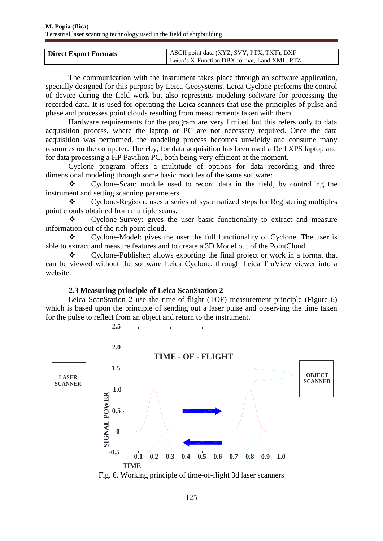| <b>Direct Export Formats</b> | ASCII point data (XYZ, SVY, PTX, TXT), DXF   |
|------------------------------|----------------------------------------------|
|                              | Leica's X-Function DBX format, Land XML, PTZ |

The communication with the instrument takes place through an software application, specially designed for this purpose by Leica Geosystems. Leica Cyclone performs the control of device during the field work but also represents modeling software for processing the recorded data. It is used for operating the Leica scanners that use the principles of pulse and phase and processes point clouds resulting from measurements taken with them.

Hardware requirements for the program are very limited but this refers only to data acquisition process, where the laptop or PC are not necessary required. Once the data acquisition was performed, the modeling process becomes unwieldy and consume many resources on the computer. Thereby, for data acquisition has been used a Dell XPS laptop and for data processing a HP Pavilion PC, both being very efficient at the moment.

Cyclone program offers a multitude of options for data recording and threedimensional modeling through some basic modules of the same software:

 Cyclone-Scan: module used to record data in the field, by controlling the instrument and setting scanning parameters.

 Cyclone-Register: uses a series of systematized steps for Registering multiples point clouds obtained from multiple scans.

 Cyclone-Survey: gives the user basic functionality to extract and measure information out of the rich point cloud.

\* Cyclone-Model: gives the user the full functionality of Cyclone. The user is able to extract and measure features and to create a 3D Model out of the PointCloud.

• Cyclone-Publisher: allows exporting the final project or work in a format that can be viewed without the software Leica Cyclone, through Leica TruView viewer into a website.

## **2.3 Measuring principle of Leica ScanStation 2**

Leica ScanStation 2 use the time-of-flight (TOF) measurement principle (Figure 6) which is based upon the principle of sending out a laser pulse and observing the time taken for the pulse to reflect from an object and return to the instrument.



Fig. 6. Working principle of time-of-flight 3d laser scanners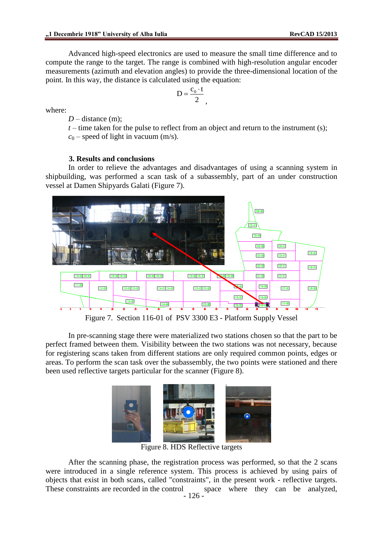Advanced high-speed electronics are used to measure the small time difference and to compute the range to the target. The range is combined with high-resolution angular encoder measurements (azimuth and elevation angles) to provide the three-dimensional location of the point. In this way, the distance is calculated using the equation:

> $D = \frac{c_0 \cdot t}{2}$ 2  $=\frac{c_0}{c}$ .

where:

 $D$  – distance  $(m)$ :

 $t$  – time taken for the pulse to reflect from an object and return to the instrument (s);  $c_0$  – speed of light in vacuum (m/s).

,

#### **3. Results and conclusions**

In order to relieve the advantages and disadvantages of using a scanning system in shipbuilding, was performed a scan task of a subassembly, part of an under construction vessel at Damen Shipyards Galati (Figure 7).



Figure 7. Section 116-01 of PSV 3300 E3 - Platform Supply Vessel

In pre-scanning stage there were materialized two stations chosen so that the part to be perfect framed between them. Visibility between the two stations was not necessary, because for registering scans taken from different stations are only required common points, edges or areas. To perform the scan task over the subassembly, the two points were stationed and there been used reflective targets particular for the scanner (Figure 8).



Figure 8. HDS Reflective targets

After the scanning phase, the registration process was performed, so that the 2 scans were introduced in a single reference system. This process is achieved by using pairs of objects that exist in both scans, called "constraints", in the present work - reflective targets. These constraints are recorded in the control space where they can be analyzed,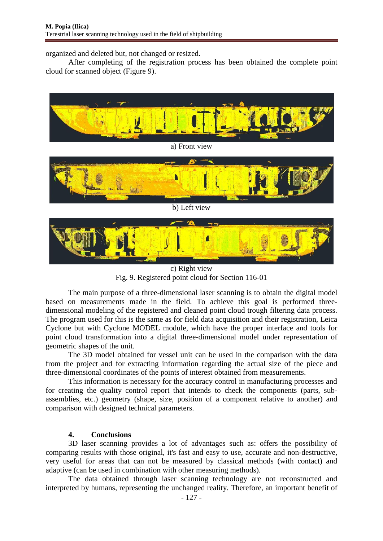organized and deleted but, not changed or resized.

After completing of the registration process has been obtained the complete point cloud for scanned object (Figure 9).



c) Right view Fig. 9. Registered point cloud for Section 116-01

The main purpose of a three-dimensional laser scanning is to obtain the digital model based on measurements made in the field. To achieve this goal is performed threedimensional modeling of the registered and cleaned point cloud trough filtering data process. The program used for this is the same as for field data acquisition and their registration, Leica Cyclone but with Cyclone MODEL module, which have the proper interface and tools for point cloud transformation into a digital three-dimensional model under representation of geometric shapes of the unit.

The 3D model obtained for vessel unit can be used in the comparison with the data from the project and for extracting information regarding the actual size of the piece and three-dimensional coordinates of the points of interest obtained from measurements.

This information is necessary for the accuracy control in manufacturing processes and for creating the quality control report that intends to check the components (parts, subassemblies, etc.) geometry (shape, size, position of a component relative to another) and comparison with designed technical parameters.

## **4. Conclusions**

3D laser scanning provides a lot of advantages such as: offers the possibility of comparing results with those original, it's fast and easy to use, accurate and non-destructive, very useful for areas that can not be measured by classical methods (with contact) and adaptive (can be used in combination with other measuring methods).

The data obtained through laser scanning technology are not reconstructed and interpreted by humans, representing the unchanged reality. Therefore, an important benefit of